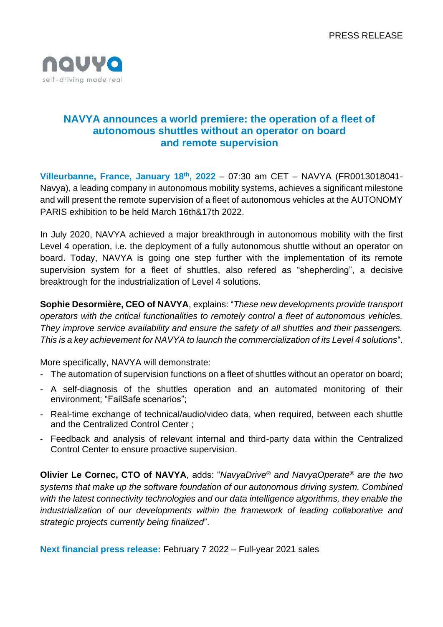

## **NAVYA announces a world premiere: the operation of a fleet of autonomous shuttles without an operator on board and remote supervision**

**Villeurbanne, France, January 18 th, 2022** – 07:30 am CET – NAVYA (FR0013018041- Navya), a leading company in autonomous mobility systems, achieves a significant milestone and will present the remote supervision of a fleet of autonomous vehicles at the AUTONOMY PARIS exhibition to be held March 16th&17th 2022.

In July 2020, NAVYA achieved a major breakthrough in autonomous mobility with the first Level 4 operation, i.e. the deployment of a fully autonomous shuttle without an operator on board. Today, NAVYA is going one step further with the implementation of its remote supervision system for a fleet of shuttles, also refered as "shepherding", a decisive breaktrough for the industrialization of Level 4 solutions.

**Sophie Desormière, CEO of NAVYA**, explains: "*These new developments provide transport operators with the critical functionalities to remotely control a fleet of autonomous vehicles. They improve service availability and ensure the safety of all shuttles and their passengers. This is a key achievement for NAVYA to launch the commercialization of its Level 4 solutions*".

More specifically, NAVYA will demonstrate:

- The automation of supervision functions on a fleet of shuttles without an operator on board;
- A self-diagnosis of the shuttles operation and an automated monitoring of their environment; "FailSafe scenarios";
- Real-time exchange of technical/audio/video data, when required, between each shuttle and the Centralized Control Center ;
- Feedback and analysis of relevant internal and third-party data within the Centralized Control Center to ensure proactive supervision.

**Olivier Le Cornec, CTO of NAVYA**, adds: "*NavyaDrive® and NavyaOperate® are the two systems that make up the software foundation of our autonomous driving system. Combined with the latest connectivity technologies and our data intelligence algorithms, they enable the industrialization of our developments within the framework of leading collaborative and strategic projects currently being finalized*".

**Next financial press release:** February 7 2022 – Full-year 2021 sales